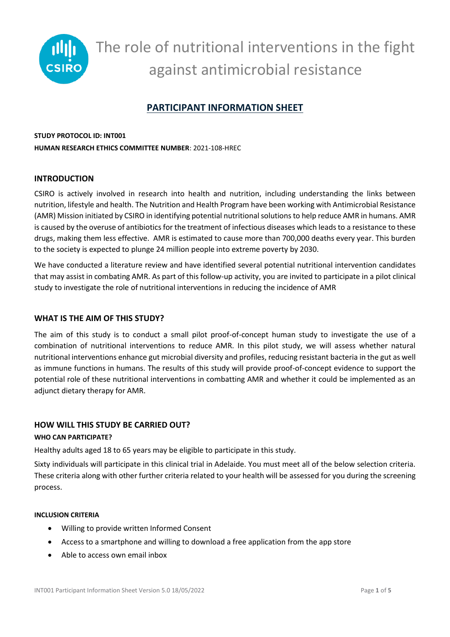

# **PARTICIPANT INFORMATION SHEET**

# **STUDY PROTOCOL ID: INT001 HUMAN RESEARCH ETHICS COMMITTEE NUMBER**: 2021-108-HREC

# **INTRODUCTION**

CSIRO is actively involved in research into health and nutrition, including understanding the links between nutrition, lifestyle and health. The Nutrition and Health Program have been working with Antimicrobial Resistance (AMR) Mission initiated by CSIRO in identifying potential nutritional solutions to help reduce AMR in humans. AMR is caused by the overuse of antibiotics for the treatment of infectious diseases which leads to a resistance to these drugs, making them less effective. AMR is estimated to cause more than 700,000 deaths every year. This burden to the society is expected to plunge 24 million people into extreme poverty by 2030.

We have conducted a literature review and have identified several potential nutritional intervention candidates that may assist in combating AMR. As part of this follow-up activity, you are invited to participate in a pilot clinical study to investigate the role of nutritional interventions in reducing the incidence of AMR

### **WHAT IS THE AIM OF THIS STUDY?**

The aim of this study is to conduct a small pilot proof-of-concept human study to investigate the use of a combination of nutritional interventions to reduce AMR. In this pilot study, we will assess whether natural nutritional interventions enhance gut microbial diversity and profiles, reducing resistant bacteria in the gut as well as immune functions in humans. The results of this study will provide proof-of-concept evidence to support the potential role of these nutritional interventions in combatting AMR and whether it could be implemented as an adjunct dietary therapy for AMR.

### **HOW WILL THIS STUDY BE CARRIED OUT?**

### **WHO CAN PARTICIPATE?**

Healthy adults aged 18 to 65 years may be eligible to participate in this study.

Sixty individuals will participate in this clinical trial in Adelaide. You must meet all of the below selection criteria. These criteria along with other further criteria related to your health will be assessed for you during the screening process.

### **INCLUSION CRITERIA**

- Willing to provide written Informed Consent
- Access to a smartphone and willing to download a free application from the app store
- Able to access own email inbox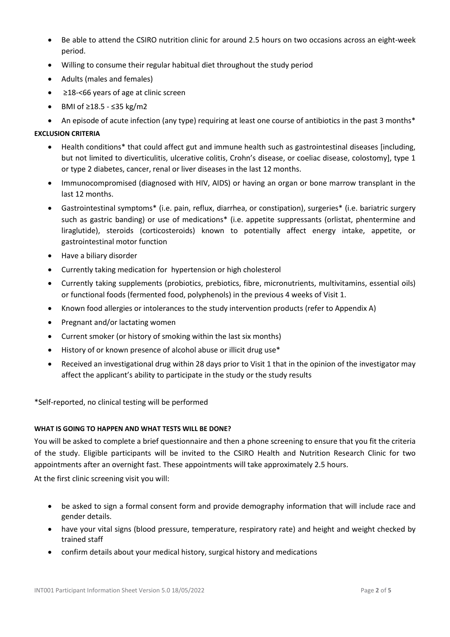- Be able to attend the CSIRO nutrition clinic for around 2.5 hours on two occasions across an eight-week period.
- Willing to consume their regular habitual diet throughout the study period
- Adults (males and females)
- ≥18-<66 years of age at clinic screen
- BMI of ≥18.5 ≤35 kg/m2
- An episode of acute infection (any type) requiring at least one course of antibiotics in the past 3 months\*

### **EXCLUSION CRITERIA**

- Health conditions\* that could affect gut and immune health such as gastrointestinal diseases [including, but not limited to diverticulitis, ulcerative colitis, Crohn's disease, or coeliac disease, colostomy], type 1 or type 2 diabetes, cancer, renal or liver diseases in the last 12 months.
- Immunocompromised (diagnosed with HIV, AIDS) or having an organ or bone marrow transplant in the last 12 months.
- Gastrointestinal symptoms\* (i.e. pain, reflux, diarrhea, or constipation), surgeries\* (i.e. bariatric surgery such as gastric banding) or use of medications\* (i.e. appetite suppressants (orlistat, phentermine and liraglutide), steroids (corticosteroids) known to potentially affect energy intake, appetite, or gastrointestinal motor function
- Have a biliary disorder
- Currently taking medication for hypertension or high cholesterol
- Currently taking supplements (probiotics, prebiotics, fibre, micronutrients, multivitamins, essential oils) or functional foods (fermented food, polyphenols) in the previous 4 weeks of Visit 1.
- Known food allergies or intolerances to the study intervention products (refer to Appendix A)
- Pregnant and/or lactating women
- Current smoker (or history of smoking within the last six months)
- History of or known presence of alcohol abuse or illicit drug use\*
- Received an investigational drug within 28 days prior to Visit 1 that in the opinion of the investigator may affect the applicant's ability to participate in the study or the study results

\*Self-reported, no clinical testing will be performed

### **WHAT IS GOING TO HAPPEN AND WHAT TESTS WILL BE DONE?**

You will be asked to complete a brief questionnaire and then a phone screening to ensure that you fit the criteria of the study. Eligible participants will be invited to the CSIRO Health and Nutrition Research Clinic for two appointments after an overnight fast. These appointments will take approximately 2.5 hours.

At the first clinic screening visit you will:

- be asked to sign a formal consent form and provide demography information that will include race and gender details.
- have your vital signs (blood pressure, temperature, respiratory rate) and height and weight checked by trained staff
- confirm details about your medical history, surgical history and medications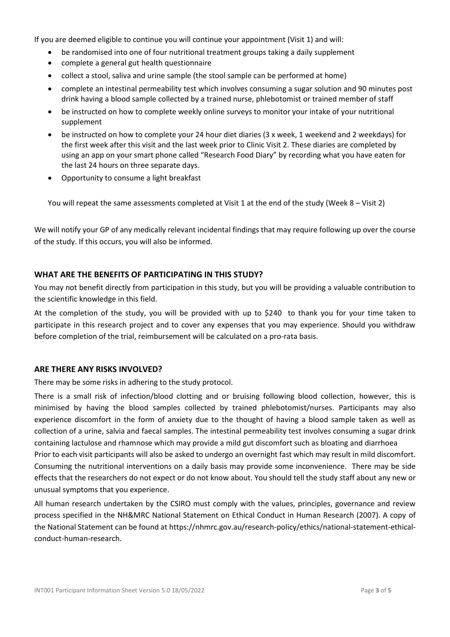If you are deemed eligible to continue you will continue your appointment (Visit 1) and will:

- be randomised into one of four nutritional treatment groups taking a daily supplement
- complete a general gut health questionnaire
- collect a stool, saliva and urine sample (the stool sample can be performed at home)
- complete an intestinal permeability test which involves consuming a sugar solution and 90 minutes post drink having a blood sample collected by a trained nurse, phlebotomist or trained member of staff
- be instructed on how to complete weekly online surveys to monitor your intake of your nutritional supplement
- be instructed on how to complete your 24 hour diet diaries (3 x week, 1 weekend and 2 weekdays) for the first week after this visit and the last week prior to Clinic Visit 2. These diaries are completed by using an app on your smart phone called "Research Food Diary" by recording what you have eaten for the last 24 hours on three separate days.
- Opportunity to consume a light breakfast

You will repeat the same assessments completed at Visit 1 at the end of the study (Week 8 – Visit 2)

We will notify your GP of any medically relevant incidental findings that may require following up over the course of the study. If this occurs, you will also be informed.

# **WHAT ARE THE BENEFITS OF PARTICIPATING IN THIS STUDY?**

You may not benefit directly from participation in this study, but you will be providing a valuable contribution to the scientific knowledge in this field.

At the completion of the study, you will be provided with up to \$240 to thank you for your time taken to participate in this research project and to cover any expenses that you may experience. Should you withdraw before completion of the trial, reimbursement will be calculated on a pro-rata basis.

# **ARE THERE ANY RISKS INVOLVED?**

There may be some risks in adhering to the study protocol.

There is a small risk of infection/blood clotting and or bruising following blood collection, however, this is minimised by having the blood samples collected by trained phlebotomist/nurses. Participants may also experience discomfort in the form of anxiety due to the thought of having a blood sample taken as well as collection of a urine, salvia and faecal samples. The intestinal permeability test involves consuming a sugar drink containing lactulose and rhamnose which may provide a mild gut discomfort such as bloating and diarrhoea Prior to each visit participants will also be asked to undergo an overnight fast which may result in mild discomfort. Consuming the nutritional interventions on a daily basis may provide some inconvenience. There may be side effects that the researchers do not expect or do not know about. You should tell the study staff about any new or unusual symptoms that you experience.

All human research undertaken by the CSIRO must comply with the values, principles, governance and review process specified in the NH&MRC National Statement on Ethical Conduct in Human Research (2007). A copy of the National Statement can be found a[t https://nhmrc.gov.au/research-policy/ethics/national-statement-ethical](https://nhmrc.gov.au/research-policy/ethics/national-statement-ethical-conduct-human-research)[conduct-human-research.](https://nhmrc.gov.au/research-policy/ethics/national-statement-ethical-conduct-human-research)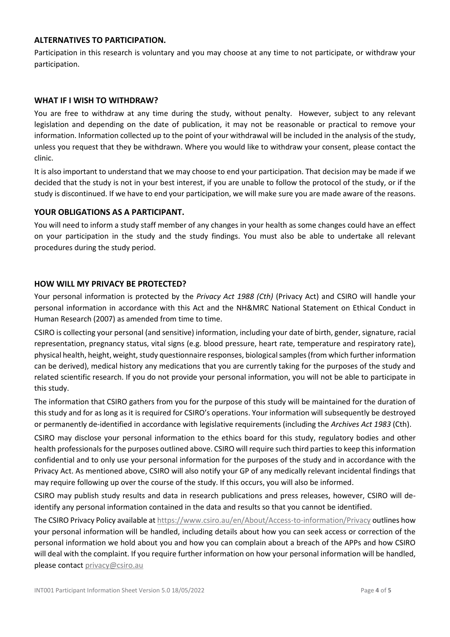### **ALTERNATIVES TO PARTICIPATION.**

Participation in this research is voluntary and you may choose at any time to not participate, or withdraw your participation.

### **WHAT IF I WISH TO WITHDRAW?**

You are free to withdraw at any time during the study, without penalty. However, subject to any relevant legislation and depending on the date of publication, it may not be reasonable or practical to remove your information. Information collected up to the point of your withdrawal will be included in the analysis of the study, unless you request that they be withdrawn. Where you would like to withdraw your consent, please contact the clinic.

It is also important to understand that we may choose to end your participation. That decision may be made if we decided that the study is not in your best interest, if you are unable to follow the protocol of the study, or if the study is discontinued. If we have to end your participation, we will make sure you are made aware of the reasons.

# **YOUR OBLIGATIONS AS A PARTICIPANT.**

You will need to inform a study staff member of any changes in your health as some changes could have an effect on your participation in the study and the study findings. You must also be able to undertake all relevant procedures during the study period.

# **HOW WILL MY PRIVACY BE PROTECTED?**

Your personal information is protected by the *Privacy Act 1988 (Cth)* (Privacy Act) and CSIRO will handle your personal information in accordance with this Act and the NH&MRC National Statement on Ethical Conduct in Human Research (2007) as amended from time to time.

CSIRO is collecting your personal (and sensitive) information, including your date of birth, gender, signature, racial representation, pregnancy status, vital signs (e.g. blood pressure, heart rate, temperature and respiratory rate), physical health, height, weight, study questionnaire responses, biological samples (from which further information can be derived), medical history any medications that you are currently taking for the purposes of the study and related scientific research. If you do not provide your personal information, you will not be able to participate in this study.

The information that CSIRO gathers from you for the purpose of this study will be maintained for the duration of this study and for as long as it is required for CSIRO's operations. Your information will subsequently be destroyed or permanently de-identified in accordance with legislative requirements (including the *Archives Act 1983* (Cth).

CSIRO may disclose your personal information to the ethics board for this study, regulatory bodies and other health professionals for the purposes outlined above. CSIRO will require such third parties to keep this information confidential and to only use your personal information for the purposes of the study and in accordance with the Privacy Act. As mentioned above, CSIRO will also notify your GP of any medically relevant incidental findings that may require following up over the course of the study. If this occurs, you will also be informed.

CSIRO may publish study results and data in research publications and press releases, however, CSIRO will deidentify any personal information contained in the data and results so that you cannot be identified.

The CSIRO Privacy Policy available at<https://www.csiro.au/en/About/Access-to-information/Privacy> outlines how your personal information will be handled, including details about how you can seek access or correction of the personal information we hold about you and how you can complain about a breach of the APPs and how CSIRO will deal with the complaint. If you require further information on how your personal information will be handled, please contac[t privacy@csiro.au](mailto:privacy@csiro.au)